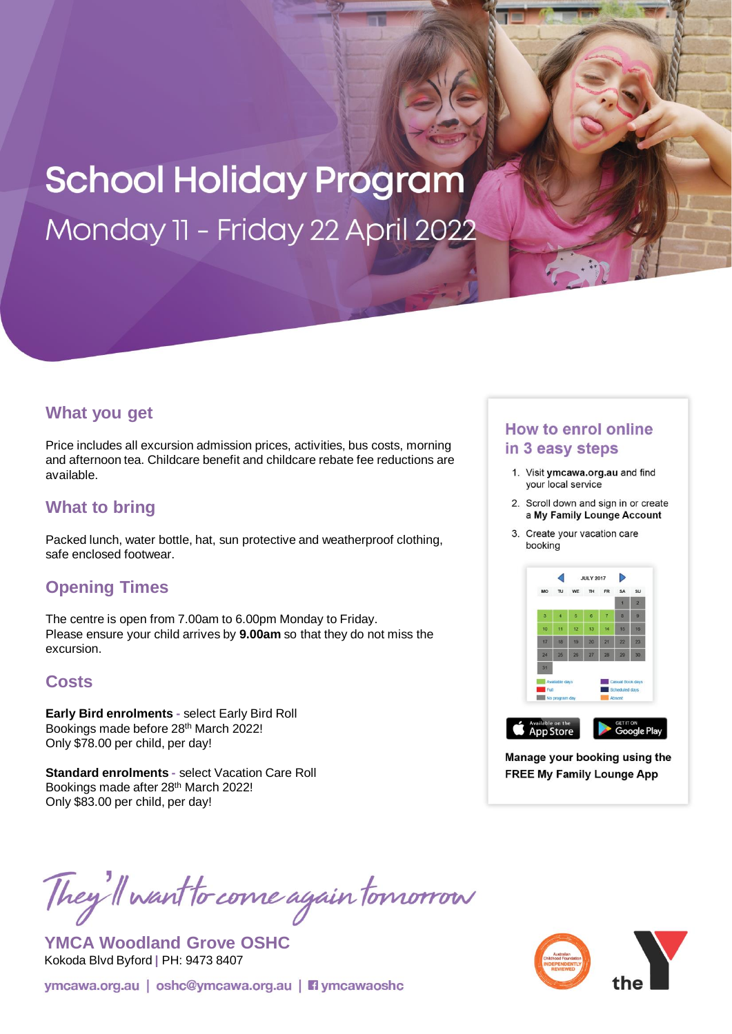# **School Holiday Program** Monday 11 - Friday 22 April 2022

#### **What you get**

Price includes all excursion admission prices, activities, bus costs, morning and afternoon tea. Childcare benefit and childcare rebate fee reductions are available.

## **What to bring**

Packed lunch, water bottle, hat, sun protective and weatherproof clothing, safe enclosed footwear.

### **Opening Times**

The centre is open from 7.00am to 6.00pm Monday to Friday. Please ensure your child arrives by **9.00am** so that they do not miss the excursion.

### **Costs**

**Early Bird enrolments -** select Early Bird Roll Bookings made before 28th March 2022! Only \$78.00 per child, per day!

**Standard enrolments -** select Vacation Care Roll Bookings made after 28th March 2022! Only \$83.00 per child, per day!

# They'll want to come again tomorrow

**YMCA Woodland Grove OSHC** Kokoda Blvd Byford **|** PH: 9473 8407

ymcawa.org.au | oshc@ymcawa.org.au | **Fi** ymcawaoshc

#### **How to enrol online** in 3 easy steps

- 1. Visit ymcawa.org.au and find your local service
- 2. Scroll down and sign in or create a My Family Lounge Account
- 3. Create your vacation care booking



Manage your booking using the **FREE My Family Lounge App**